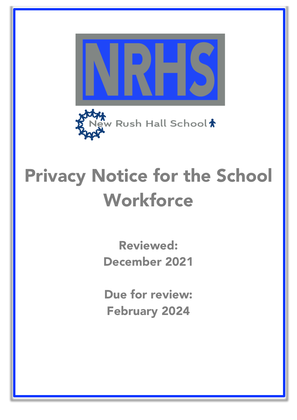

# Privacy Notice for the School **Workforce**

Reviewed: December 2021

Due for review: February 2024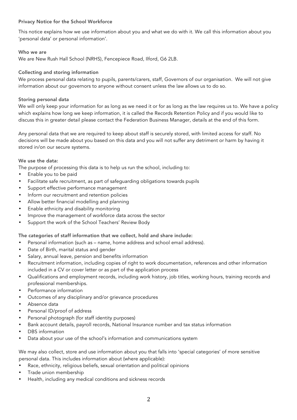# Privacy Notice for the School Workforce

This notice explains how we use information about you and what we do with it. We call this information about you 'personal data' or personal information'.

## Who we are

We are New Rush Hall School (NRHS), Fencepiece Road, Ilford, G6 2LB.

# Collecting and storing information

We process personal data relating to pupils, parents/carers, staff, Governors of our organisation. We will not give information about our governors to anyone without consent unless the law allows us to do so.

## Storing personal data

We will only keep your information for as long as we need it or for as long as the law requires us to. We have a policy which explains how long we keep information, it is called the Records Retention Policy and if you would like to discuss this in greater detail please contact the Federation Business Manager, details at the end of this form.

Any personal data that we are required to keep about staff is securely stored, with limited access for staff. No decisions will be made about you based on this data and you will not suffer any detriment or harm by having it stored in/on our secure systems.

## We use the data:

The purpose of processing this data is to help us run the school, including to:

- Enable you to be paid
- Facilitate safe recruitment, as part of safeguarding obligations towards pupils
- Support effective performance management
- Inform our recruitment and retention policies
- Allow better financial modelling and planning
- Enable ethnicity and disability monitoring
- Improve the management of workforce data across the sector
- Support the work of the School Teachers' Review Body

#### The categories of staff information that we collect, hold and share include:

- Personal information (such as name, home address and school email address).
- Date of Birth, marital status and gender
- Salary, annual leave, pension and benefits information
- Recruitment information, including copies of right to work documentation, references and other information included in a CV or cover letter or as part of the application process
- Qualifications and employment records, including work history, job titles, working hours, training records and professional memberships.
- Performance information
- Outcomes of any disciplinary and/or grievance procedures
- Absence data
- Personal ID/proof of address
- Personal photograph (for staff identity purposes)
- Bank account details, payroll records, National Insurance number and tax status information
- DBS information
- Data about your use of the school's information and communications system

We may also collect, store and use information about you that falls into 'special categories' of more sensitive personal data. This includes information about (where applicable):

- Race, ethnicity, religious beliefs, sexual orientation and political opinions
- Trade union membership
- Health, including any medical conditions and sickness records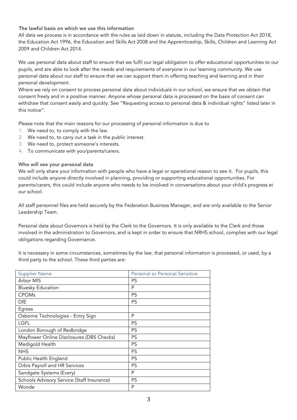The lawful basis on which we use this information

All data we process is in accordance with the rules as laid down in statute, including the Data Protection Act 2018, the Education Act 1996, the Education and Skills Act 2008 and the Apprenticeship, Skills, Children and Learning Act 2009 and Children Act 2014.

We use personal data about staff to ensure that we fulfil our legal obligation to offer educational opportunities to our pupils, and are able to look after the needs and requirements of everyone in our learning community. We use personal data about our staff to ensure that we can support them in offering teaching and learning and in their personal development.

Where we rely on consent to process personal data about individuals in our school, we ensure that we obtain that consent freely and in a positive manner. Anyone whose personal data is processed on the basis of consent can withdraw that consent easily and quickly. See "Requesting access to personal data & individual rights" listed later in this notice".

Please note that the main reasons for our processing of personal information is due to

- 1. We need to, to comply with the law.
- 2. We need to, to carry out a task in the public interest.
- 3. We need to, protect someone's interests.
- 4. To communicate with you/parents/carers.

## Who will see your personal data

We will only share your information with people who have a legal or operational reason to see it. For pupils, this could include anyone directly involved in planning, providing or supporting educational opportunities. For parents/carers, this could include anyone who needs to be involved in conversations about your child's progress at our school.

All staff personnel files are held securely by the Federation Business Manager, and are only available to the Senior Leadership Team.

Personal data about Governors is held by the Clerk to the Governors. It is only available to the Clerk and those involved in the administration to Governors, and is kept in order to ensure that NRHS school, complies with our legal obligations regarding Governance.

It is necessary in some circumstances, sometimes by the law, that personal information is processed, or used, by a third party to the school. These third parties are:

| <b>Supplier Name</b>                       | Personal or Personal Sensitive |
|--------------------------------------------|--------------------------------|
| Arbor MIS                                  | <b>PS</b>                      |
| <b>Bluesky Education</b>                   | P                              |
| <b>CPOMs</b>                               | PS                             |
| <b>DfE</b>                                 | PS                             |
| Egress                                     |                                |
| Osborne Technologies - Entry Sign          | P                              |
| <b>LGFL</b>                                | PS                             |
| London Borough of Redbridge                | PS                             |
| Mayflower Online Disclosures (DBS Checks)  | <b>PS</b>                      |
| Medigold Health                            | <b>PS</b>                      |
| <b>NHS</b>                                 | <b>PS</b>                      |
| Public Health England                      | <b>PS</b>                      |
| Orbis Payroll and HR Services              | PS                             |
| Sandgate Systems (Every)                   | P                              |
| Schools Advisory Service (Staff Insurance) | <b>PS</b>                      |
| Wonde                                      | P                              |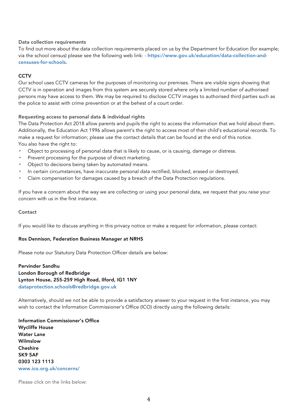#### Data collection requirements

To find out more about the data collection requirements placed on us by the Department for Education (for example; via the school census) please see the following web link: - https://www.gov.uk/education/data-collection-andcensuses-for-schools.

## **CCTV**

Our school uses CCTV cameras for the purposes of monitoring our premises. There are visible signs showing that CCTV is in operation and images from this system are securely stored where only a limited number of authorised persons may have access to them. We may be required to disclose CCTV images to authorised third parties such as the police to assist with crime prevention or at the behest of a court order.

## Requesting access to personal data & individual rights

The Data Protection Act 2018 allow parents and pupils the right to access the information that we hold about them. Additionally, the Education Act 1996 allows parent's the right to access most of their child's educational records. To make a request for information; please use the contact details that can be found at the end of this notice. You also have the right to:

- Object to processing of personal data that is likely to cause, or is causing, damage or distress.
- Prevent processing for the purpose of direct marketing.
- Object to decisions being taken by automated means.
- In certain circumstances, have inaccurate personal data rectified, blocked, erased or destroyed.
- Claim compensation for damages caused by a breach of the Data Protection regulations.

If you have a concern about the way we are collecting or using your personal data, we request that you raise your concern with us in the first instance.

#### **Contact**

If you would like to discuss anything in this privacy notice or make a request for information, please contact:

#### Ros Dennison, Federation Business Manager at NRHS

Please note our Statutory Data Protection Officer details are below:

Pervinder Sandhu London Borough of Redbridge Lynton House, 255-259 High Road, Ilford, IG1 1NY dataprotection.schools@redbridge.gov.uk

Alternatively, should we not be able to provide a satisfactory answer to your request in the first instance, you may wish to contact the Information Commissioner's Office (ICO) directly using the following details:

Information Commissioner's Office Wycliffe House Water Lane Wilmslow Cheshire SK9 5AF 0303 123 1113 www.ico.org.uk/concerns/

Please click on the links below: